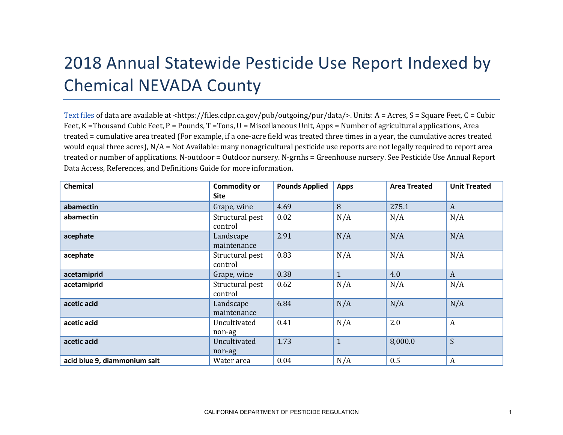## 2018 Annual Statewide Pesticide Use Report Indexed by Chemical NEVADA County

[Text files](https://files.cdpr.ca.gov/pub/outgoing/pur/data/) of data are available at <https://files.cdpr.ca.gov/pub/outgoing/pur/data/>. Units: A = Acres, S = Square Feet, C = Cubic Feet, K = Thousand Cubic Feet, P = Pounds, T = Tons, U = Miscellaneous Unit, Apps = Number of agricultural applications, Area treated = cumulative area treated (For example, if a one-acre field was treated three times in a year, the cumulative acres treated would equal three acres),  $N/A = Not$  Available: many nonagricultural pesticide use reports are not legally required to report area treated or number of applications. N-outdoor = Outdoor nursery. N-grnhs = Greenhouse nursery. See Pesticide Use Annual Report Data Access, References, and Definitions Guide for more information.

| <b>Chemical</b>              | <b>Commodity or</b><br>Site | <b>Pounds Applied</b> | <b>Apps</b>    | <b>Area Treated</b> | <b>Unit Treated</b> |
|------------------------------|-----------------------------|-----------------------|----------------|---------------------|---------------------|
| abamectin                    | Grape, wine                 | 4.69                  | 8              | 275.1               | A                   |
| abamectin                    | Structural pest<br>control  | 0.02                  | N/A            | N/A                 | N/A                 |
| acephate                     | Landscape<br>maintenance    | 2.91                  | N/A            | N/A                 | N/A                 |
| acephate                     | Structural pest<br>control  | 0.83                  | N/A            | N/A                 | N/A                 |
| acetamiprid                  | Grape, wine                 | 0.38                  | $\mathbf{1}$   | 4.0                 | $\mathbf{A}$        |
| acetamiprid                  | Structural pest<br>control  | 0.62                  | N/A            | N/A                 | N/A                 |
| acetic acid                  | Landscape<br>maintenance    | 6.84                  | N/A            | N/A                 | N/A                 |
| acetic acid                  | Uncultivated<br>non-ag      | 0.41                  | N/A            | 2.0                 | $\boldsymbol{A}$    |
| acetic acid                  | Uncultivated<br>non-ag      | 1.73                  | $\overline{1}$ | 8,000.0             | S                   |
| acid blue 9, diammonium salt | Water area                  | 0.04                  | N/A            | 0.5                 | A                   |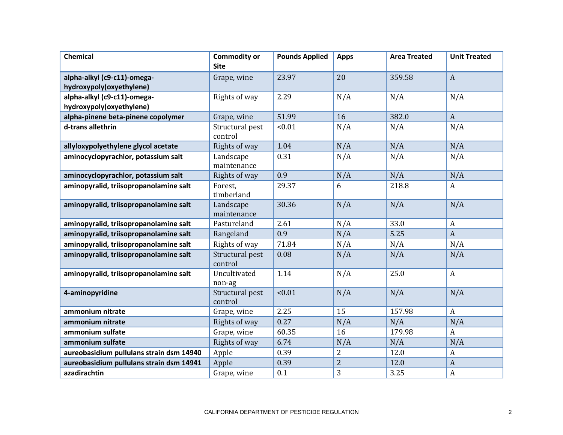| <b>Chemical</b>                          | <b>Commodity or</b>        | <b>Pounds Applied</b> | <b>Apps</b>    | <b>Area Treated</b> | <b>Unit Treated</b> |
|------------------------------------------|----------------------------|-----------------------|----------------|---------------------|---------------------|
|                                          | <b>Site</b>                |                       |                |                     |                     |
| alpha-alkyl (c9-c11)-omega-              | Grape, wine                | 23.97                 | 20             | 359.58              | $\mathbf{A}$        |
| hydroxypoly(oxyethylene)                 |                            |                       |                |                     |                     |
| alpha-alkyl (c9-c11)-omega-              | Rights of way              | 2.29                  | N/A            | N/A                 | N/A                 |
| hydroxypoly(oxyethylene)                 |                            |                       |                |                     |                     |
| alpha-pinene beta-pinene copolymer       | Grape, wine                | 51.99                 | 16             | 382.0               | $\mathbf{A}$        |
| d-trans allethrin                        | Structural pest<br>control | < 0.01                | N/A            | N/A                 | N/A                 |
| allyloxypolyethylene glycol acetate      | Rights of way              | 1.04                  | N/A            | N/A                 | N/A                 |
| aminocyclopyrachlor, potassium salt      | Landscape<br>maintenance   | 0.31                  | N/A            | N/A                 | N/A                 |
| aminocyclopyrachlor, potassium salt      | Rights of way              | 0.9                   | N/A            | N/A                 | N/A                 |
| aminopyralid, triisopropanolamine salt   | Forest,<br>timberland      | 29.37                 | 6              | 218.8               | $\mathbf{A}$        |
| aminopyralid, triisopropanolamine salt   | Landscape<br>maintenance   | 30.36                 | N/A            | N/A                 | N/A                 |
| aminopyralid, triisopropanolamine salt   | Pastureland                | 2.61                  | N/A            | 33.0                | $\boldsymbol{A}$    |
| aminopyralid, triisopropanolamine salt   | Rangeland                  | 0.9                   | N/A            | 5.25                | $\mathbf{A}$        |
| aminopyralid, triisopropanolamine salt   | Rights of way              | 71.84                 | N/A            | N/A                 | N/A                 |
| aminopyralid, triisopropanolamine salt   | Structural pest<br>control | 0.08                  | N/A            | N/A                 | N/A                 |
| aminopyralid, triisopropanolamine salt   | Uncultivated<br>non-ag     | 1.14                  | N/A            | 25.0                | $\mathbf{A}$        |
| 4-aminopyridine                          | Structural pest<br>control | < 0.01                | N/A            | N/A                 | N/A                 |
| ammonium nitrate                         | Grape, wine                | 2.25                  | 15             | 157.98              | $\mathbf{A}$        |
| ammonium nitrate                         | Rights of way              | 0.27                  | N/A            | N/A                 | N/A                 |
| ammonium sulfate                         | Grape, wine                | 60.35                 | 16             | 179.98              | $\mathbf{A}$        |
| ammonium sulfate                         | Rights of way              | 6.74                  | N/A            | N/A                 | N/A                 |
| aureobasidium pullulans strain dsm 14940 | Apple                      | 0.39                  | $\overline{2}$ | 12.0                | $\boldsymbol{A}$    |
| aureobasidium pullulans strain dsm 14941 | Apple                      | 0.39                  | $\overline{2}$ | 12.0                | $\boldsymbol{A}$    |
| azadirachtin                             | Grape, wine                | 0.1                   | 3              | 3.25                | A                   |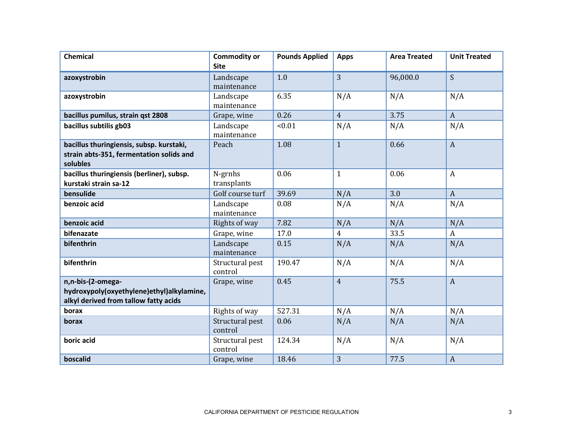| <b>Chemical</b>                                                                                         | <b>Commodity or</b><br><b>Site</b> | <b>Pounds Applied</b> | <b>Apps</b>    | <b>Area Treated</b> | <b>Unit Treated</b> |
|---------------------------------------------------------------------------------------------------------|------------------------------------|-----------------------|----------------|---------------------|---------------------|
| azoxystrobin                                                                                            | Landscape<br>maintenance           | 1.0                   | 3              | 96,000.0            | S                   |
| azoxystrobin                                                                                            | Landscape<br>maintenance           | 6.35                  | N/A            | N/A                 | N/A                 |
| bacillus pumilus, strain qst 2808                                                                       | Grape, wine                        | 0.26                  | $\overline{4}$ | 3.75                | $\boldsymbol{A}$    |
| bacillus subtilis gb03                                                                                  | Landscape<br>maintenance           | < 0.01                | N/A            | N/A                 | N/A                 |
| bacillus thuringiensis, subsp. kurstaki,<br>strain abts-351, fermentation solids and<br>solubles        | Peach                              | 1.08                  | $\mathbf{1}$   | 0.66                | $\boldsymbol{A}$    |
| bacillus thuringiensis (berliner), subsp.<br>kurstaki strain sa-12                                      | N-grnhs<br>transplants             | 0.06                  | $\mathbf{1}$   | 0.06                | $\boldsymbol{A}$    |
| bensulide                                                                                               | Golf course turf                   | 39.69                 | N/A            | 3.0                 | $\mathbf{A}$        |
| benzoic acid                                                                                            | Landscape<br>maintenance           | 0.08                  | N/A            | N/A                 | N/A                 |
| benzoic acid                                                                                            | Rights of way                      | 7.82                  | N/A            | N/A                 | N/A                 |
| bifenazate                                                                                              | Grape, wine                        | 17.0                  | $\overline{4}$ | 33.5                | $\mathbf{A}$        |
| bifenthrin                                                                                              | Landscape<br>maintenance           | 0.15                  | N/A            | N/A                 | N/A                 |
| bifenthrin                                                                                              | Structural pest<br>control         | 190.47                | N/A            | N/A                 | N/A                 |
| n,n-bis-(2-omega-<br>hydroxypoly(oxyethylene)ethyl)alkylamine,<br>alkyl derived from tallow fatty acids | Grape, wine                        | 0.45                  | $\overline{4}$ | 75.5                | $\boldsymbol{A}$    |
| borax                                                                                                   | Rights of way                      | 527.31                | N/A            | N/A                 | N/A                 |
| borax                                                                                                   | Structural pest<br>control         | 0.06                  | N/A            | N/A                 | N/A                 |
| boric acid                                                                                              | Structural pest<br>control         | 124.34                | N/A            | N/A                 | N/A                 |
| boscalid                                                                                                | Grape, wine                        | 18.46                 | 3              | 77.5                | $\boldsymbol{A}$    |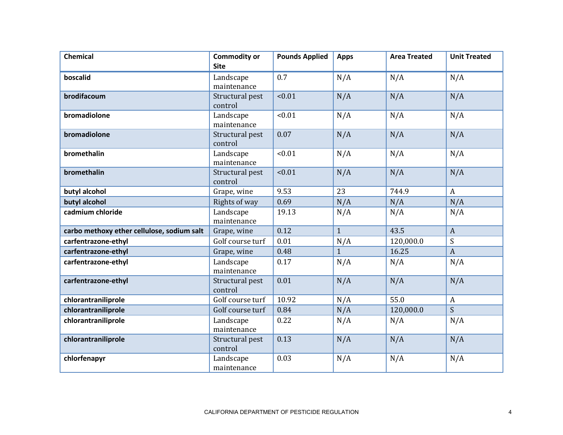| <b>Chemical</b>                            | <b>Commodity or</b><br><b>Site</b> | <b>Pounds Applied</b> | <b>Apps</b>  | <b>Area Treated</b> | <b>Unit Treated</b> |
|--------------------------------------------|------------------------------------|-----------------------|--------------|---------------------|---------------------|
| boscalid                                   | Landscape<br>maintenance           | 0.7                   | N/A          | N/A                 | N/A                 |
| brodifacoum                                | Structural pest<br>control         | < 0.01                | N/A          | N/A                 | N/A                 |
| bromadiolone                               | Landscape<br>maintenance           | < 0.01                | N/A          | N/A                 | N/A                 |
| bromadiolone                               | Structural pest<br>control         | 0.07                  | N/A          | N/A                 | N/A                 |
| bromethalin                                | Landscape<br>maintenance           | < 0.01                | N/A          | N/A                 | N/A                 |
| bromethalin                                | Structural pest<br>control         | < 0.01                | N/A          | N/A                 | N/A                 |
| butyl alcohol                              | Grape, wine                        | 9.53                  | 23           | 744.9               | $\mathbf{A}$        |
| butyl alcohol                              | Rights of way                      | 0.69                  | N/A          | N/A                 | N/A                 |
| cadmium chloride                           | Landscape<br>maintenance           | 19.13                 | N/A          | N/A                 | N/A                 |
| carbo methoxy ether cellulose, sodium salt | Grape, wine                        | 0.12                  | $\mathbf{1}$ | 43.5                | $\overline{A}$      |
| carfentrazone-ethyl                        | Golf course turf                   | 0.01                  | N/A          | 120,000.0           | S                   |
| carfentrazone-ethyl                        | Grape, wine                        | 0.48                  | $\mathbf{1}$ | 16.25               | $\mathbf{A}$        |
| carfentrazone-ethyl                        | Landscape<br>maintenance           | 0.17                  | N/A          | N/A                 | N/A                 |
| carfentrazone-ethyl                        | Structural pest<br>control         | 0.01                  | N/A          | N/A                 | N/A                 |
| chlorantraniliprole                        | Golf course turf                   | 10.92                 | N/A          | 55.0                | $\mathbf{A}$        |
| chlorantraniliprole                        | Golf course turf                   | 0.84                  | N/A          | 120,000.0           | S                   |
| chlorantraniliprole                        | Landscape<br>maintenance           | 0.22                  | N/A          | N/A                 | N/A                 |
| chlorantraniliprole                        | Structural pest<br>control         | 0.13                  | N/A          | N/A                 | N/A                 |
| chlorfenapyr                               | Landscape<br>maintenance           | 0.03                  | N/A          | N/A                 | N/A                 |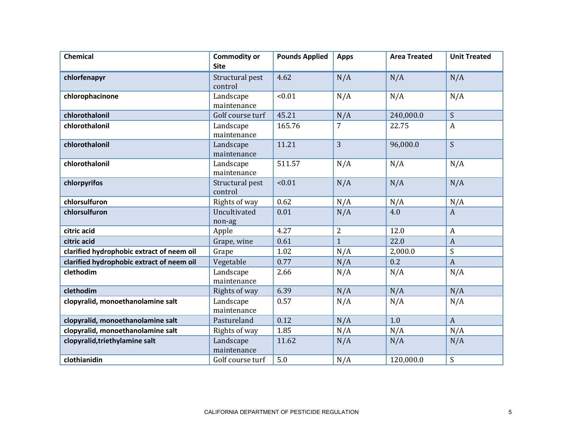| <b>Chemical</b>                           | <b>Commodity or</b><br><b>Site</b> | <b>Pounds Applied</b> | <b>Apps</b>  | <b>Area Treated</b> | <b>Unit Treated</b> |
|-------------------------------------------|------------------------------------|-----------------------|--------------|---------------------|---------------------|
| chlorfenapyr                              | Structural pest<br>control         | 4.62                  | N/A          | N/A                 | N/A                 |
| chlorophacinone                           | Landscape<br>maintenance           | < 0.01                | N/A          | N/A                 | N/A                 |
| chlorothalonil                            | Golf course turf                   | 45.21                 | N/A          | 240,000.0           | S                   |
| chlorothalonil                            | Landscape<br>maintenance           | 165.76                | 7            | 22.75               | $\boldsymbol{A}$    |
| chlorothalonil                            | Landscape<br>maintenance           | 11.21                 | 3            | 96,000.0            | S                   |
| chlorothalonil                            | Landscape<br>maintenance           | 511.57                | N/A          | N/A                 | N/A                 |
| chlorpyrifos                              | Structural pest<br>control         | < 0.01                | N/A          | N/A                 | N/A                 |
| chlorsulfuron                             | Rights of way                      | 0.62                  | N/A          | N/A                 | N/A                 |
| chlorsulfuron                             | Uncultivated<br>non-ag             | 0.01                  | N/A          | 4.0                 | $\mathbf{A}$        |
| citric acid                               | Apple                              | 4.27                  | 2            | 12.0                | $\boldsymbol{A}$    |
| citric acid                               | Grape, wine                        | 0.61                  | $\mathbf{1}$ | 22.0                | $\boldsymbol{A}$    |
| clarified hydrophobic extract of neem oil | Grape                              | 1.02                  | N/A          | 2,000.0             | S                   |
| clarified hydrophobic extract of neem oil | Vegetable                          | 0.77                  | N/A          | 0.2                 | $\overline{A}$      |
| clethodim                                 | Landscape<br>maintenance           | 2.66                  | N/A          | N/A                 | N/A                 |
| clethodim                                 | Rights of way                      | 6.39                  | N/A          | N/A                 | N/A                 |
| clopyralid, monoethanolamine salt         | Landscape<br>maintenance           | 0.57                  | N/A          | N/A                 | N/A                 |
| clopyralid, monoethanolamine salt         | Pastureland                        | 0.12                  | N/A          | 1.0                 | $\boldsymbol{A}$    |
| clopyralid, monoethanolamine salt         | Rights of way                      | 1.85                  | N/A          | N/A                 | N/A                 |
| clopyralid, triethylamine salt            | Landscape<br>maintenance           | 11.62                 | N/A          | N/A                 | N/A                 |
| clothianidin                              | Golf course turf                   | 5.0                   | N/A          | 120,000.0           | S                   |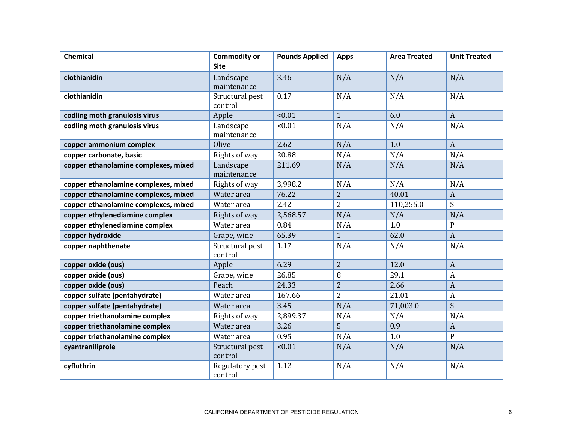| Chemical                             | <b>Commodity or</b>        | <b>Pounds Applied</b> | <b>Apps</b>    | <b>Area Treated</b> | <b>Unit Treated</b> |
|--------------------------------------|----------------------------|-----------------------|----------------|---------------------|---------------------|
|                                      | <b>Site</b>                |                       |                |                     |                     |
| clothianidin                         | Landscape<br>maintenance   | 3.46                  | N/A            | N/A                 | N/A                 |
| clothianidin                         | Structural pest<br>control | 0.17                  | N/A            | N/A                 | N/A                 |
| codling moth granulosis virus        | Apple                      | < 0.01                | $\mathbf{1}$   | 6.0                 | $\mathbf{A}$        |
| codling moth granulosis virus        | Landscape<br>maintenance   | < 0.01                | N/A            | N/A                 | N/A                 |
| copper ammonium complex              | Olive                      | 2.62                  | N/A            | 1.0                 | $\mathbf{A}$        |
| copper carbonate, basic              | Rights of way              | 20.88                 | N/A            | N/A                 | N/A                 |
| copper ethanolamine complexes, mixed | Landscape<br>maintenance   | 211.69                | N/A            | N/A                 | N/A                 |
| copper ethanolamine complexes, mixed | Rights of way              | 3,998.2               | N/A            | N/A                 | N/A                 |
| copper ethanolamine complexes, mixed | Water area                 | 76.22                 | $\overline{2}$ | 40.01               | $\boldsymbol{A}$    |
| copper ethanolamine complexes, mixed | Water area                 | 2.42                  | $\overline{2}$ | 110,255.0           | S                   |
| copper ethylenediamine complex       | Rights of way              | 2,568.57              | N/A            | N/A                 | N/A                 |
| copper ethylenediamine complex       | Water area                 | 0.84                  | N/A            | 1.0                 | $\mathbf P$         |
| copper hydroxide                     | Grape, wine                | 65.39                 | $\mathbf{1}$   | 62.0                | $\mathbf{A}$        |
| copper naphthenate                   | Structural pest<br>control | 1.17                  | N/A            | N/A                 | N/A                 |
| copper oxide (ous)                   | Apple                      | 6.29                  | 2              | 12.0                | $\mathbf{A}$        |
| copper oxide (ous)                   | Grape, wine                | 26.85                 | 8              | 29.1                | $\boldsymbol{A}$    |
| copper oxide (ous)                   | Peach                      | 24.33                 | $\overline{2}$ | 2.66                | $\boldsymbol{A}$    |
| copper sulfate (pentahydrate)        | Water area                 | 167.66                | $\overline{2}$ | 21.01               | A                   |
| copper sulfate (pentahydrate)        | Water area                 | 3.45                  | N/A            | 71,003.0            | S                   |
| copper triethanolamine complex       | Rights of way              | 2,899.37              | N/A            | N/A                 | N/A                 |
| copper triethanolamine complex       | Water area                 | 3.26                  | 5              | 0.9                 | $\boldsymbol{A}$    |
| copper triethanolamine complex       | Water area                 | 0.95                  | N/A            | 1.0                 | $\mathbf{P}$        |
| cyantraniliprole                     | Structural pest<br>control | < 0.01                | N/A            | N/A                 | N/A                 |
| cyfluthrin                           | Regulatory pest<br>control | 1.12                  | N/A            | N/A                 | N/A                 |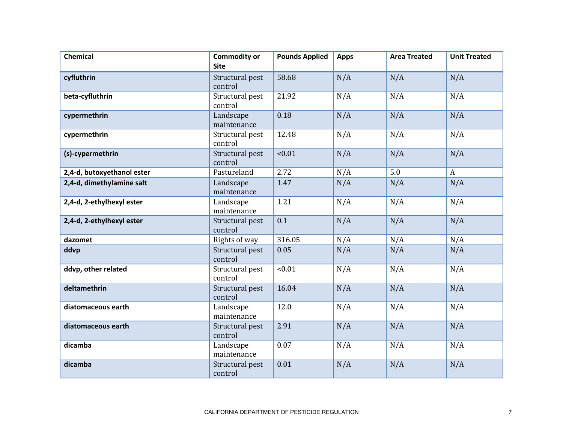| <b>Chemical</b>            | <b>Commodity or</b><br><b>Site</b> | <b>Pounds Applied</b> | <b>Apps</b> | <b>Area Treated</b> | <b>Unit Treated</b> |
|----------------------------|------------------------------------|-----------------------|-------------|---------------------|---------------------|
| cyfluthrin                 | Structural pest<br>control         | 58.68                 | N/A         | N/A                 | N/A                 |
| beta-cyfluthrin            | Structural pest<br>control         | 21.92                 | N/A         | N/A                 | N/A                 |
| cypermethrin               | Landscape<br>maintenance           | 0.18                  | N/A         | N/A                 | N/A                 |
| cypermethrin               | Structural pest<br>control         | 12.48                 | N/A         | N/A                 | N/A                 |
| (s)-cypermethrin           | Structural pest<br>control         | < 0.01                | N/A         | N/A                 | N/A                 |
| 2,4-d, butoxyethanol ester | Pastureland                        | 2.72                  | N/A         | 5.0                 | $\boldsymbol{A}$    |
| 2,4-d, dimethylamine salt  | Landscape<br>maintenance           | 1.47                  | N/A         | N/A                 | N/A                 |
| 2,4-d, 2-ethylhexyl ester  | Landscape<br>maintenance           | 1.21                  | N/A         | N/A                 | N/A                 |
| 2,4-d, 2-ethylhexyl ester  | Structural pest<br>control         | 0.1                   | N/A         | N/A                 | N/A                 |
| dazomet                    | Rights of way                      | 316.05                | N/A         | N/A                 | N/A                 |
| ddvp                       | Structural pest<br>control         | 0.05                  | N/A         | N/A                 | N/A                 |
| ddvp, other related        | Structural pest<br>control         | < 0.01                | N/A         | N/A                 | N/A                 |
| deltamethrin               | Structural pest<br>control         | 16.04                 | N/A         | N/A                 | N/A                 |
| diatomaceous earth         | Landscape<br>maintenance           | 12.0                  | N/A         | N/A                 | N/A                 |
| diatomaceous earth         | Structural pest<br>control         | 2.91                  | N/A         | N/A                 | N/A                 |
| dicamba                    | Landscape<br>maintenance           | 0.07                  | N/A         | N/A                 | N/A                 |
| dicamba                    | Structural pest<br>control         | 0.01                  | N/A         | N/A                 | N/A                 |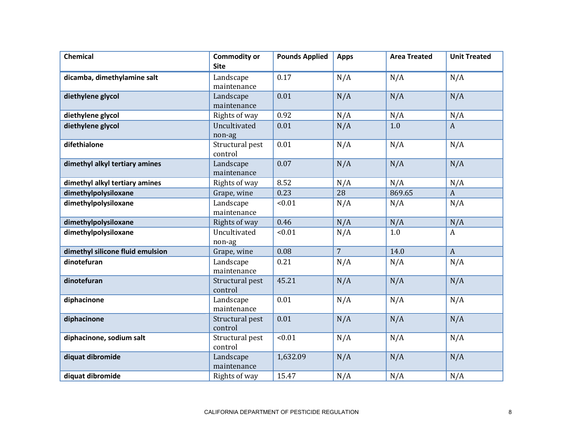| <b>Chemical</b>                  | <b>Commodity or</b><br><b>Site</b> | <b>Pounds Applied</b> | <b>Apps</b>    | <b>Area Treated</b> | <b>Unit Treated</b> |
|----------------------------------|------------------------------------|-----------------------|----------------|---------------------|---------------------|
| dicamba, dimethylamine salt      | Landscape<br>maintenance           | 0.17                  | N/A            | N/A                 | N/A                 |
| diethylene glycol                | Landscape<br>maintenance           | 0.01                  | N/A            | N/A                 | N/A                 |
| diethylene glycol                | Rights of way                      | 0.92                  | N/A            | N/A                 | N/A                 |
| diethylene glycol                | Uncultivated<br>non-ag             | 0.01                  | N/A            | 1.0                 | $\mathbf{A}$        |
| difethialone                     | Structural pest<br>control         | 0.01                  | N/A            | N/A                 | N/A                 |
| dimethyl alkyl tertiary amines   | Landscape<br>maintenance           | 0.07                  | N/A            | N/A                 | N/A                 |
| dimethyl alkyl tertiary amines   | Rights of way                      | 8.52                  | N/A            | N/A                 | N/A                 |
| dimethylpolysiloxane             | Grape, wine                        | 0.23                  | 28             | 869.65              | $\boldsymbol{A}$    |
| dimethylpolysiloxane             | Landscape<br>maintenance           | < 0.01                | N/A            | N/A                 | N/A                 |
| dimethylpolysiloxane             | Rights of way                      | 0.46                  | N/A            | N/A                 | N/A                 |
| dimethylpolysiloxane             | Uncultivated<br>non-ag             | < 0.01                | N/A            | 1.0                 | $\boldsymbol{A}$    |
| dimethyl silicone fluid emulsion | Grape, wine                        | 0.08                  | $\overline{7}$ | 14.0                | $\boldsymbol{A}$    |
| dinotefuran                      | Landscape<br>maintenance           | 0.21                  | N/A            | N/A                 | N/A                 |
| dinotefuran                      | Structural pest<br>control         | 45.21                 | N/A            | N/A                 | N/A                 |
| diphacinone                      | Landscape<br>maintenance           | 0.01                  | N/A            | N/A                 | N/A                 |
| diphacinone                      | Structural pest<br>control         | 0.01                  | N/A            | N/A                 | N/A                 |
| diphacinone, sodium salt         | Structural pest<br>control         | < 0.01                | N/A            | N/A                 | N/A                 |
| diquat dibromide                 | Landscape<br>maintenance           | 1,632.09              | N/A            | N/A                 | N/A                 |
| diquat dibromide                 | Rights of way                      | 15.47                 | N/A            | N/A                 | N/A                 |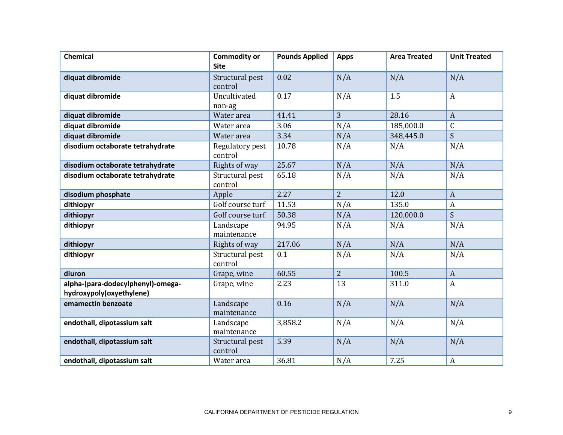| <b>Chemical</b>                                               | <b>Commodity or</b><br><b>Site</b> | <b>Pounds Applied</b> | <b>Apps</b>    | <b>Area Treated</b> | <b>Unit Treated</b> |
|---------------------------------------------------------------|------------------------------------|-----------------------|----------------|---------------------|---------------------|
| diquat dibromide                                              | Structural pest<br>control         | 0.02                  | N/A            | N/A                 | N/A                 |
| diquat dibromide                                              | Uncultivated<br>non-ag             | 0.17                  | N/A            | 1.5                 | $\boldsymbol{A}$    |
| diquat dibromide                                              | Water area                         | 41.41                 | 3              | 28.16               | $\overline{A}$      |
| diquat dibromide                                              | Water area                         | 3.06                  | N/A            | 185,000.0           | $\mathsf C$         |
| diquat dibromide                                              | Water area                         | 3.34                  | N/A            | 348,445.0           | S                   |
| disodium octaborate tetrahydrate                              | Regulatory pest<br>control         | 10.78                 | N/A            | N/A                 | N/A                 |
| disodium octaborate tetrahydrate                              | Rights of way                      | 25.67                 | N/A            | N/A                 | N/A                 |
| disodium octaborate tetrahydrate                              | Structural pest<br>control         | 65.18                 | N/A            | N/A                 | N/A                 |
| disodium phosphate                                            | Apple                              | 2.27                  | $\overline{2}$ | 12.0                | $\mathbf{A}$        |
| dithiopyr                                                     | Golf course turf                   | 11.53                 | N/A            | 135.0               | $\boldsymbol{A}$    |
| dithiopyr                                                     | Golf course turf                   | 50.38                 | N/A            | 120,000.0           | S                   |
| dithiopyr                                                     | Landscape<br>maintenance           | 94.95                 | N/A            | N/A                 | N/A                 |
| dithiopyr                                                     | Rights of way                      | 217.06                | N/A            | N/A                 | N/A                 |
| dithiopyr                                                     | Structural pest<br>control         | 0.1                   | N/A            | N/A                 | N/A                 |
| diuron                                                        | Grape, wine                        | 60.55                 | $\overline{2}$ | 100.5               | $\mathbf{A}$        |
| alpha-(para-dodecylphenyl)-omega-<br>hydroxypoly(oxyethylene) | Grape, wine                        | 2.23                  | 13             | 311.0               | $\boldsymbol{A}$    |
| emamectin benzoate                                            | Landscape<br>maintenance           | 0.16                  | N/A            | N/A                 | N/A                 |
| endothall, dipotassium salt                                   | Landscape<br>maintenance           | 3,858.2               | N/A            | N/A                 | N/A                 |
| endothall, dipotassium salt                                   | Structural pest<br>control         | 5.39                  | N/A            | N/A                 | N/A                 |
| endothall, dipotassium salt                                   | Water area                         | 36.81                 | N/A            | 7.25                | A                   |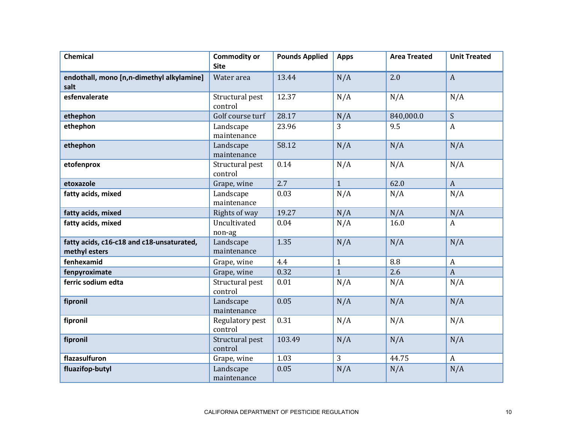| <b>Chemical</b>                                            | <b>Commodity or</b><br><b>Site</b> | <b>Pounds Applied</b> | <b>Apps</b>  | <b>Area Treated</b> | <b>Unit Treated</b> |
|------------------------------------------------------------|------------------------------------|-----------------------|--------------|---------------------|---------------------|
| endothall, mono [n,n-dimethyl alkylamine]<br>salt          | Water area                         | 13.44                 | N/A          | 2.0                 | $\boldsymbol{A}$    |
| esfenvalerate                                              | Structural pest<br>control         | 12.37                 | N/A          | N/A                 | N/A                 |
| ethephon                                                   | Golf course turf                   | 28.17                 | N/A          | 840,000.0           | S                   |
| ethephon                                                   | Landscape<br>maintenance           | 23.96                 | 3            | 9.5                 | $\boldsymbol{A}$    |
| ethephon                                                   | Landscape<br>maintenance           | 58.12                 | N/A          | N/A                 | N/A                 |
| etofenprox                                                 | Structural pest<br>control         | 0.14                  | N/A          | N/A                 | N/A                 |
| etoxazole                                                  | Grape, wine                        | 2.7                   | $\mathbf{1}$ | 62.0                | $\boldsymbol{A}$    |
| fatty acids, mixed                                         | Landscape<br>maintenance           | 0.03                  | N/A          | N/A                 | N/A                 |
| fatty acids, mixed                                         | Rights of way                      | 19.27                 | N/A          | N/A                 | N/A                 |
| fatty acids, mixed                                         | Uncultivated<br>non-ag             | 0.04                  | N/A          | 16.0                | $\mathbf{A}$        |
| fatty acids, c16-c18 and c18-unsaturated,<br>methyl esters | Landscape<br>maintenance           | 1.35                  | N/A          | N/A                 | N/A                 |
| fenhexamid                                                 | Grape, wine                        | 4.4                   | $\mathbf{1}$ | 8.8                 | $\boldsymbol{A}$    |
| fenpyroximate                                              | Grape, wine                        | 0.32                  | $\mathbf{1}$ | 2.6                 | $\overline{A}$      |
| ferric sodium edta                                         | Structural pest<br>control         | 0.01                  | N/A          | N/A                 | N/A                 |
| fipronil                                                   | Landscape<br>maintenance           | 0.05                  | N/A          | N/A                 | N/A                 |
| fipronil                                                   | Regulatory pest<br>control         | 0.31                  | N/A          | N/A                 | N/A                 |
| fipronil                                                   | Structural pest<br>control         | 103.49                | N/A          | N/A                 | N/A                 |
| flazasulfuron                                              | Grape, wine                        | 1.03                  | 3            | 44.75               | $\boldsymbol{A}$    |
| fluazifop-butyl                                            | Landscape<br>maintenance           | 0.05                  | N/A          | N/A                 | N/A                 |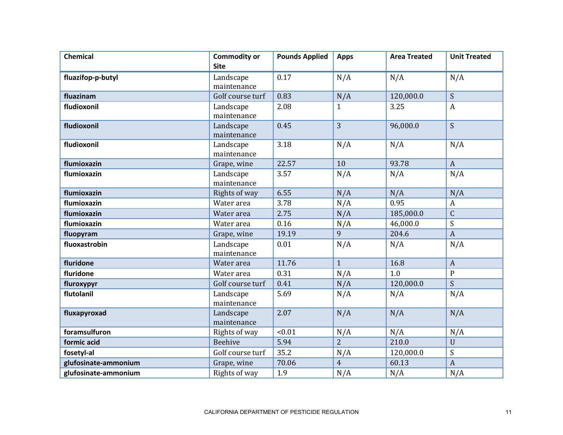| <b>Chemical</b>      | <b>Commodity or</b><br><b>Site</b> | <b>Pounds Applied</b> | <b>Apps</b>    | <b>Area Treated</b> | <b>Unit Treated</b> |
|----------------------|------------------------------------|-----------------------|----------------|---------------------|---------------------|
| fluazifop-p-butyl    | Landscape<br>maintenance           | 0.17                  | N/A            | N/A                 | N/A                 |
| fluazinam            | Golf course turf                   | 0.83                  | N/A            | 120,000.0           | S                   |
| fludioxonil          | Landscape<br>maintenance           | 2.08                  | $\mathbf{1}$   | 3.25                | $\boldsymbol{A}$    |
| fludioxonil          | Landscape<br>maintenance           | 0.45                  | 3              | 96,000.0            | S                   |
| fludioxonil          | Landscape<br>maintenance           | 3.18                  | N/A            | N/A                 | N/A                 |
| flumioxazin          | Grape, wine                        | 22.57                 | 10             | 93.78               | $\boldsymbol{A}$    |
| flumioxazin          | Landscape<br>maintenance           | 3.57                  | N/A            | N/A                 | N/A                 |
| flumioxazin          | Rights of way                      | 6.55                  | N/A            | N/A                 | N/A                 |
| flumioxazin          | Water area                         | 3.78                  | N/A            | 0.95                | $\boldsymbol{A}$    |
| flumioxazin          | Water area                         | 2.75                  | N/A            | 185,000.0           | $\mathsf{C}$        |
| flumioxazin          | Water area                         | 0.16                  | N/A            | 46,000.0            | S                   |
| fluopyram            | Grape, wine                        | 19.19                 | 9              | 204.6               | $\mathbf{A}$        |
| fluoxastrobin        | Landscape<br>maintenance           | 0.01                  | N/A            | N/A                 | N/A                 |
| fluridone            | Water area                         | 11.76                 | $\mathbf{1}$   | 16.8                | $\boldsymbol{A}$    |
| fluridone            | Water area                         | 0.31                  | N/A            | 1.0                 | ${\bf P}$           |
| fluroxypyr           | Golf course turf                   | 0.41                  | N/A            | 120,000.0           | S                   |
| flutolanil           | Landscape<br>maintenance           | 5.69                  | N/A            | N/A                 | N/A                 |
| fluxapyroxad         | Landscape<br>maintenance           | 2.07                  | N/A            | N/A                 | N/A                 |
| foramsulfuron        | Rights of way                      | < 0.01                | N/A            | N/A                 | N/A                 |
| formic acid          | Beehive                            | 5.94                  | $\overline{2}$ | 210.0               | U                   |
| fosetyl-al           | Golf course turf                   | 35.2                  | N/A            | 120,000.0           | S                   |
| glufosinate-ammonium | Grape, wine                        | 70.06                 | $\overline{4}$ | 60.13               | $\overline{A}$      |
| glufosinate-ammonium | Rights of way                      | 1.9                   | N/A            | N/A                 | N/A                 |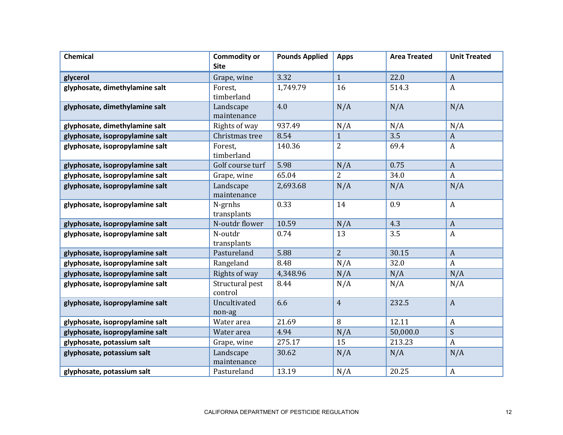| <b>Chemical</b>                 | <b>Commodity or</b><br><b>Site</b> | <b>Pounds Applied</b> | <b>Apps</b>    | <b>Area Treated</b> | <b>Unit Treated</b> |
|---------------------------------|------------------------------------|-----------------------|----------------|---------------------|---------------------|
|                                 |                                    |                       |                |                     |                     |
| glycerol                        | Grape, wine                        | 3.32                  | $\mathbf{1}$   | 22.0                | $\boldsymbol{A}$    |
| glyphosate, dimethylamine salt  | Forest,<br>timberland              | 1,749.79              | 16             | 514.3               | $\boldsymbol{A}$    |
| glyphosate, dimethylamine salt  | Landscape<br>maintenance           | 4.0                   | N/A            | N/A                 | N/A                 |
| glyphosate, dimethylamine salt  | Rights of way                      | 937.49                | N/A            | N/A                 | N/A                 |
| glyphosate, isopropylamine salt | Christmas tree                     | 8.54                  | $\mathbf{1}$   | 3.5                 | $\boldsymbol{A}$    |
| glyphosate, isopropylamine salt | Forest,<br>timberland              | 140.36                | $\overline{2}$ | 69.4                | A                   |
| glyphosate, isopropylamine salt | Golf course turf                   | 5.98                  | N/A            | 0.75                | $\boldsymbol{A}$    |
| glyphosate, isopropylamine salt | Grape, wine                        | 65.04                 | $\overline{2}$ | 34.0                | $\boldsymbol{A}$    |
| glyphosate, isopropylamine salt | Landscape<br>maintenance           | 2,693.68              | N/A            | N/A                 | N/A                 |
| glyphosate, isopropylamine salt | N-grnhs<br>transplants             | 0.33                  | 14             | 0.9                 | $\boldsymbol{A}$    |
| glyphosate, isopropylamine salt | N-outdr flower                     | 10.59                 | N/A            | 4.3                 | $\overline{A}$      |
| glyphosate, isopropylamine salt | N-outdr<br>transplants             | 0.74                  | 13             | 3.5                 | $\boldsymbol{A}$    |
| glyphosate, isopropylamine salt | Pastureland                        | 5.88                  | $\overline{2}$ | 30.15               | $\boldsymbol{A}$    |
| glyphosate, isopropylamine salt | Rangeland                          | 8.48                  | N/A            | 32.0                | $\boldsymbol{A}$    |
| glyphosate, isopropylamine salt | Rights of way                      | 4,348.96              | N/A            | N/A                 | N/A                 |
| glyphosate, isopropylamine salt | Structural pest<br>control         | 8.44                  | N/A            | N/A                 | N/A                 |
| glyphosate, isopropylamine salt | Uncultivated<br>non-ag             | 6.6                   | $\overline{4}$ | 232.5               | $\boldsymbol{A}$    |
| glyphosate, isopropylamine salt | Water area                         | 21.69                 | 8              | 12.11               | $\boldsymbol{A}$    |
| glyphosate, isopropylamine salt | Water area                         | 4.94                  | N/A            | 50,000.0            | $\boldsymbol{S}$    |
| glyphosate, potassium salt      | Grape, wine                        | 275.17                | 15             | 213.23              | $\boldsymbol{A}$    |
| glyphosate, potassium salt      | Landscape<br>maintenance           | 30.62                 | N/A            | N/A                 | N/A                 |
| glyphosate, potassium salt      | Pastureland                        | 13.19                 | N/A            | 20.25               | A                   |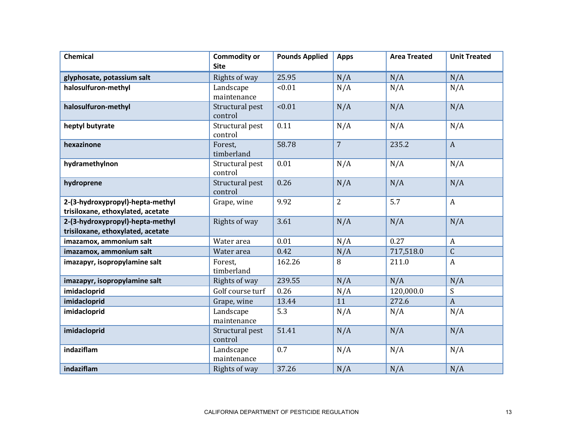| <b>Chemical</b>                                                       | <b>Commodity or</b><br><b>Site</b> | <b>Pounds Applied</b> | <b>Apps</b>    | <b>Area Treated</b> | <b>Unit Treated</b> |
|-----------------------------------------------------------------------|------------------------------------|-----------------------|----------------|---------------------|---------------------|
| glyphosate, potassium salt                                            | Rights of way                      | 25.95                 | N/A            | N/A                 | N/A                 |
| halosulfuron-methyl                                                   | Landscape<br>maintenance           | < 0.01                | N/A            | N/A                 | N/A                 |
| halosulfuron-methyl                                                   | Structural pest<br>control         | < 0.01                | N/A            | N/A                 | N/A                 |
| heptyl butyrate                                                       | Structural pest<br>control         | 0.11                  | N/A            | N/A                 | N/A                 |
| hexazinone                                                            | Forest,<br>timberland              | 58.78                 | $\overline{7}$ | 235.2               | $\boldsymbol{A}$    |
| hydramethylnon                                                        | Structural pest<br>control         | 0.01                  | N/A            | N/A                 | N/A                 |
| hydroprene                                                            | Structural pest<br>control         | 0.26                  | N/A            | N/A                 | N/A                 |
| 2-(3-hydroxypropyl)-hepta-methyl<br>trisiloxane, ethoxylated, acetate | Grape, wine                        | 9.92                  | $\overline{2}$ | 5.7                 | $\boldsymbol{A}$    |
| 2-(3-hydroxypropyl)-hepta-methyl<br>trisiloxane, ethoxylated, acetate | Rights of way                      | 3.61                  | N/A            | N/A                 | N/A                 |
| imazamox, ammonium salt                                               | Water area                         | 0.01                  | N/A            | 0.27                | $\boldsymbol{A}$    |
| imazamox, ammonium salt                                               | Water area                         | 0.42                  | N/A            | 717,518.0           | $\mathsf C$         |
| imazapyr, isopropylamine salt                                         | Forest,<br>timberland              | 162.26                | 8              | 211.0               | $\boldsymbol{A}$    |
| imazapyr, isopropylamine salt                                         | Rights of way                      | 239.55                | N/A            | N/A                 | N/A                 |
| imidacloprid                                                          | Golf course turf                   | 0.26                  | N/A            | 120,000.0           | ${\mathsf S}$       |
| imidacloprid                                                          | Grape, wine                        | 13.44                 | 11             | 272.6               | $\boldsymbol{A}$    |
| imidacloprid                                                          | Landscape<br>maintenance           | 5.3                   | N/A            | N/A                 | N/A                 |
| imidacloprid                                                          | Structural pest<br>control         | 51.41                 | N/A            | N/A                 | N/A                 |
| indaziflam                                                            | Landscape<br>maintenance           | 0.7                   | N/A            | N/A                 | N/A                 |
| indaziflam                                                            | Rights of way                      | 37.26                 | N/A            | N/A                 | N/A                 |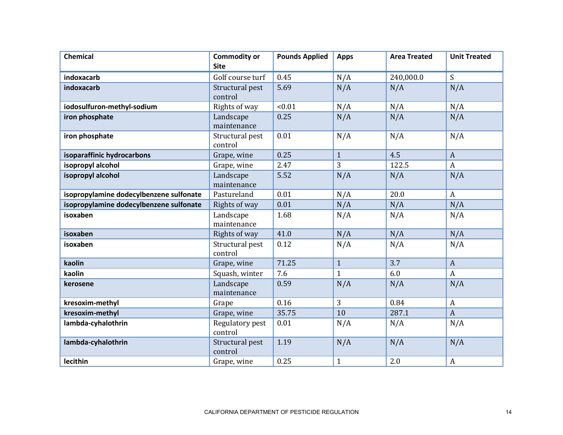| <b>Chemical</b>                         | <b>Commodity or</b><br><b>Site</b> | <b>Pounds Applied</b> | <b>Apps</b>  | <b>Area Treated</b> | <b>Unit Treated</b> |
|-----------------------------------------|------------------------------------|-----------------------|--------------|---------------------|---------------------|
| indoxacarb                              | Golf course turf                   | 0.45                  | N/A          | 240,000.0           | S                   |
| indoxacarb                              | Structural pest<br>control         | 5.69                  | N/A          | N/A                 | N/A                 |
| iodosulfuron-methyl-sodium              | Rights of way                      | < 0.01                | N/A          | N/A                 | N/A                 |
| iron phosphate                          | Landscape<br>maintenance           | 0.25                  | N/A          | N/A                 | N/A                 |
| iron phosphate                          | Structural pest<br>control         | 0.01                  | N/A          | N/A                 | N/A                 |
| isoparaffinic hydrocarbons              | Grape, wine                        | 0.25                  | $\mathbf{1}$ | 4.5                 | $\overline{A}$      |
| isopropyl alcohol                       | Grape, wine                        | 2.47                  | 3            | 122.5               | $\boldsymbol{A}$    |
| isopropyl alcohol                       | Landscape<br>maintenance           | 5.52                  | N/A          | N/A                 | N/A                 |
| isopropylamine dodecylbenzene sulfonate | Pastureland                        | 0.01                  | N/A          | 20.0                | $\boldsymbol{A}$    |
| isopropylamine dodecylbenzene sulfonate | Rights of way                      | 0.01                  | N/A          | N/A                 | N/A                 |
| isoxaben                                | Landscape<br>maintenance           | 1.68                  | N/A          | N/A                 | N/A                 |
| isoxaben                                | Rights of way                      | 41.0                  | N/A          | N/A                 | N/A                 |
| isoxaben                                | Structural pest<br>control         | 0.12                  | N/A          | N/A                 | N/A                 |
| kaolin                                  | Grape, wine                        | 71.25                 | $\mathbf{1}$ | 3.7                 | $\mathbf{A}$        |
| kaolin                                  | Squash, winter                     | 7.6                   | $\mathbf{1}$ | 6.0                 | $\mathbf{A}$        |
| kerosene                                | Landscape<br>maintenance           | 0.59                  | N/A          | N/A                 | N/A                 |
| kresoxim-methyl                         | Grape                              | 0.16                  | 3            | 0.84                | $\boldsymbol{A}$    |
| kresoxim-methyl                         | Grape, wine                        | 35.75                 | 10           | 287.1               | $\mathbf{A}$        |
| lambda-cyhalothrin                      | Regulatory pest<br>control         | 0.01                  | N/A          | N/A                 | N/A                 |
| lambda-cyhalothrin                      | Structural pest<br>control         | 1.19                  | N/A          | N/A                 | N/A                 |
| lecithin                                | Grape, wine                        | 0.25                  | $\mathbf{1}$ | 2.0                 | $\boldsymbol{A}$    |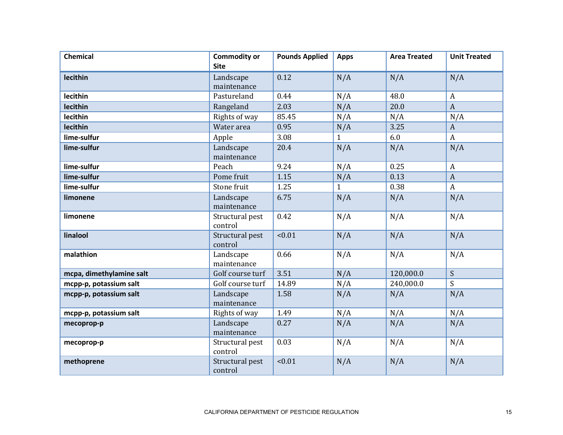| <b>Chemical</b>          | <b>Commodity or</b><br><b>Site</b> | <b>Pounds Applied</b> | <b>Apps</b>  | <b>Area Treated</b> | <b>Unit Treated</b> |
|--------------------------|------------------------------------|-----------------------|--------------|---------------------|---------------------|
|                          |                                    |                       |              |                     |                     |
| lecithin                 | Landscape                          | 0.12                  | N/A          | N/A                 | N/A                 |
|                          | maintenance                        |                       |              |                     |                     |
| lecithin                 | Pastureland                        | 0.44                  | N/A          | 48.0                | $\boldsymbol{A}$    |
| lecithin                 | Rangeland                          | 2.03                  | N/A          | 20.0                | $\mathbf{A}$        |
| lecithin                 | Rights of way                      | 85.45                 | N/A          | N/A                 | N/A                 |
| lecithin                 | Water area                         | 0.95                  | N/A          | 3.25                | $\boldsymbol{A}$    |
| lime-sulfur              | Apple                              | 3.08                  | $\mathbf{1}$ | 6.0                 | $\boldsymbol{A}$    |
| lime-sulfur              | Landscape                          | 20.4                  | N/A          | N/A                 | N/A                 |
|                          | maintenance                        |                       |              |                     |                     |
| lime-sulfur              | Peach                              | 9.24                  | N/A          | 0.25                | $\boldsymbol{A}$    |
| lime-sulfur              | Pome fruit                         | 1.15                  | N/A          | 0.13                | $\boldsymbol{A}$    |
| lime-sulfur              | Stone fruit                        | 1.25                  | 1            | 0.38                | $\boldsymbol{A}$    |
| limonene                 | Landscape                          | 6.75                  | N/A          | N/A                 | N/A                 |
|                          | maintenance                        |                       |              |                     |                     |
| limonene                 | Structural pest                    | 0.42                  | N/A          | N/A                 | N/A                 |
|                          | control                            |                       |              |                     |                     |
| linalool                 | Structural pest                    | < 0.01                | N/A          | N/A                 | N/A                 |
|                          | control                            |                       |              |                     |                     |
| malathion                | Landscape                          | 0.66                  | N/A          | N/A                 | N/A                 |
|                          | maintenance                        |                       |              |                     |                     |
| mcpa, dimethylamine salt | Golf course turf                   | 3.51                  | N/A          | 120,000.0           | S                   |
| mcpp-p, potassium salt   | Golf course turf                   | 14.89                 | N/A          | 240,000.0           | S                   |
| mcpp-p, potassium salt   | Landscape                          | 1.58                  | N/A          | N/A                 | N/A                 |
|                          | maintenance                        |                       |              |                     |                     |
| mcpp-p, potassium salt   | Rights of way                      | 1.49                  | N/A          | N/A                 | N/A                 |
| mecoprop-p               | Landscape                          | 0.27                  | N/A          | N/A                 | N/A                 |
|                          | maintenance                        |                       |              |                     |                     |
| mecoprop-p               | Structural pest                    | 0.03                  | N/A          | N/A                 | N/A                 |
|                          | control                            |                       |              |                     |                     |
| methoprene               | Structural pest                    | < 0.01                | N/A          | N/A                 | N/A                 |
|                          | control                            |                       |              |                     |                     |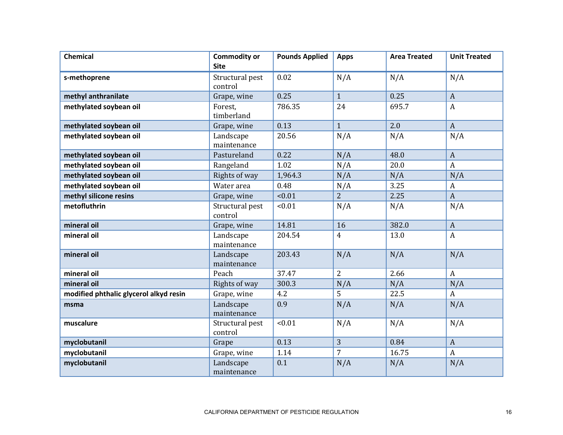| <b>Chemical</b>                        | <b>Commodity or</b><br><b>Site</b> | <b>Pounds Applied</b> | <b>Apps</b>    | <b>Area Treated</b> | <b>Unit Treated</b> |
|----------------------------------------|------------------------------------|-----------------------|----------------|---------------------|---------------------|
| s-methoprene                           | Structural pest<br>control         | 0.02                  | N/A            | N/A                 | N/A                 |
| methyl anthranilate                    | Grape, wine                        | 0.25                  | $\mathbf{1}$   | 0.25                | $\mathbf{A}$        |
| methylated soybean oil                 | Forest,<br>timberland              | 786.35                | 24             | 695.7               | $\mathbf{A}$        |
| methylated soybean oil                 | Grape, wine                        | 0.13                  | $\mathbf{1}$   | 2.0                 | $\mathbf{A}$        |
| methylated soybean oil                 | Landscape<br>maintenance           | 20.56                 | N/A            | N/A                 | N/A                 |
| methylated soybean oil                 | Pastureland                        | 0.22                  | N/A            | 48.0                | $\mathbf{A}$        |
| methylated soybean oil                 | Rangeland                          | 1.02                  | N/A            | 20.0                | $\boldsymbol{A}$    |
| methylated soybean oil                 | Rights of way                      | 1,964.3               | N/A            | N/A                 | N/A                 |
| methylated soybean oil                 | Water area                         | 0.48                  | N/A            | 3.25                | $\mathbf{A}$        |
| methyl silicone resins                 | Grape, wine                        | < 0.01                | $\overline{2}$ | 2.25                | $\mathbf{A}$        |
| metofluthrin                           | Structural pest<br>control         | < 0.01                | N/A            | N/A                 | N/A                 |
| mineral oil                            | Grape, wine                        | 14.81                 | 16             | 382.0               | $\overline{A}$      |
| mineral oil                            | Landscape<br>maintenance           | 204.54                | 4              | 13.0                | $\boldsymbol{A}$    |
| mineral oil                            | Landscape<br>maintenance           | 203.43                | N/A            | N/A                 | N/A                 |
| mineral oil                            | Peach                              | 37.47                 | $\overline{2}$ | 2.66                | $\mathbf{A}$        |
| mineral oil                            | Rights of way                      | 300.3                 | N/A            | N/A                 | N/A                 |
| modified phthalic glycerol alkyd resin | Grape, wine                        | 4.2                   | 5              | 22.5                | $\mathbf{A}$        |
| msma                                   | Landscape<br>maintenance           | 0.9                   | N/A            | N/A                 | N/A                 |
| muscalure                              | Structural pest<br>control         | < 0.01                | N/A            | N/A                 | N/A                 |
| myclobutanil                           | Grape                              | 0.13                  | 3              | 0.84                | $\overline{A}$      |
| myclobutanil                           | Grape, wine                        | 1.14                  | 7              | 16.75               | $\boldsymbol{A}$    |
| myclobutanil                           | Landscape<br>maintenance           | 0.1                   | N/A            | N/A                 | N/A                 |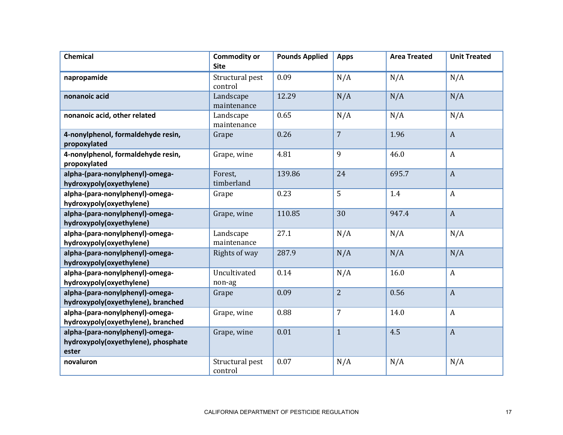| <b>Chemical</b>                                                                 | <b>Commodity or</b><br><b>Site</b> | <b>Pounds Applied</b> | <b>Apps</b>    | <b>Area Treated</b> | <b>Unit Treated</b> |
|---------------------------------------------------------------------------------|------------------------------------|-----------------------|----------------|---------------------|---------------------|
| napropamide                                                                     | Structural pest<br>control         | 0.09                  | N/A            | N/A                 | N/A                 |
| nonanoic acid                                                                   | Landscape<br>maintenance           | 12.29                 | N/A            | N/A                 | N/A                 |
| nonanoic acid, other related                                                    | Landscape<br>maintenance           | 0.65                  | N/A            | N/A                 | N/A                 |
| 4-nonylphenol, formaldehyde resin,<br>propoxylated                              | Grape                              | 0.26                  | $\overline{7}$ | 1.96                | $\boldsymbol{A}$    |
| 4-nonylphenol, formaldehyde resin,<br>propoxylated                              | Grape, wine                        | 4.81                  | 9              | 46.0                | $\boldsymbol{A}$    |
| alpha-(para-nonylphenyl)-omega-<br>hydroxypoly(oxyethylene)                     | Forest,<br>timberland              | 139.86                | 24             | 695.7               | $\boldsymbol{A}$    |
| alpha-(para-nonylphenyl)-omega-<br>hydroxypoly(oxyethylene)                     | Grape                              | 0.23                  | 5              | 1.4                 | $\boldsymbol{A}$    |
| alpha-(para-nonylphenyl)-omega-<br>hydroxypoly(oxyethylene)                     | Grape, wine                        | 110.85                | 30             | 947.4               | $\boldsymbol{A}$    |
| alpha-(para-nonylphenyl)-omega-<br>hydroxypoly(oxyethylene)                     | Landscape<br>maintenance           | 27.1                  | N/A            | N/A                 | N/A                 |
| alpha-(para-nonylphenyl)-omega-<br>hydroxypoly(oxyethylene)                     | Rights of way                      | 287.9                 | N/A            | N/A                 | N/A                 |
| alpha-(para-nonylphenyl)-omega-<br>hydroxypoly(oxyethylene)                     | Uncultivated<br>non-ag             | 0.14                  | N/A            | 16.0                | $\boldsymbol{A}$    |
| alpha-(para-nonylphenyl)-omega-<br>hydroxypoly(oxyethylene), branched           | Grape                              | 0.09                  | $\overline{2}$ | 0.56                | $\boldsymbol{A}$    |
| alpha-(para-nonylphenyl)-omega-<br>hydroxypoly(oxyethylene), branched           | Grape, wine                        | 0.88                  | $\overline{7}$ | 14.0                | $\boldsymbol{A}$    |
| alpha-(para-nonylphenyl)-omega-<br>hydroxypoly(oxyethylene), phosphate<br>ester | Grape, wine                        | 0.01                  | $\mathbf{1}$   | 4.5                 | $\overline{A}$      |
| novaluron                                                                       | Structural pest<br>control         | 0.07                  | N/A            | N/A                 | N/A                 |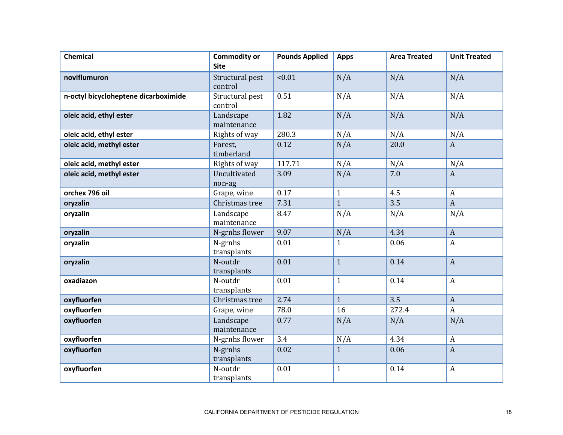| <b>Chemical</b>                      | <b>Commodity or</b><br><b>Site</b> | <b>Pounds Applied</b> | <b>Apps</b>    | <b>Area Treated</b> | <b>Unit Treated</b> |
|--------------------------------------|------------------------------------|-----------------------|----------------|---------------------|---------------------|
| noviflumuron                         | Structural pest<br>control         | < 0.01                | N/A            | N/A                 | N/A                 |
| n-octyl bicycloheptene dicarboximide | Structural pest<br>control         | 0.51                  | N/A            | N/A                 | N/A                 |
| oleic acid, ethyl ester              | Landscape<br>maintenance           | 1.82                  | N/A            | N/A                 | N/A                 |
| oleic acid, ethyl ester              | Rights of way                      | 280.3                 | N/A            | N/A                 | N/A                 |
| oleic acid, methyl ester             | Forest,<br>timberland              | 0.12                  | N/A            | 20.0                | $\mathbf{A}$        |
| oleic acid, methyl ester             | Rights of way                      | 117.71                | N/A            | N/A                 | N/A                 |
| oleic acid, methyl ester             | Uncultivated<br>non-ag             | 3.09                  | N/A            | 7.0                 | $\mathbf{A}$        |
| orchex 796 oil                       | Grape, wine                        | 0.17                  | $\mathbf{1}$   | 4.5                 | $\boldsymbol{A}$    |
| oryzalin                             | Christmas tree                     | 7.31                  | $\mathbf{1}$   | 3.5                 | $\boldsymbol{A}$    |
| oryzalin                             | Landscape<br>maintenance           | 8.47                  | N/A            | N/A                 | N/A                 |
| oryzalin                             | N-grnhs flower                     | 9.07                  | N/A            | 4.34                | $\mathbf{A}$        |
| oryzalin                             | N-grnhs<br>transplants             | 0.01                  | $\mathbf{1}$   | 0.06                | $\mathbf{A}$        |
| oryzalin                             | N-outdr<br>transplants             | 0.01                  | $\mathbf{1}$   | 0.14                | $\boldsymbol{A}$    |
| oxadiazon                            | N-outdr<br>transplants             | 0.01                  | $\mathbf{1}$   | 0.14                | $\mathbf{A}$        |
| oxyfluorfen                          | Christmas tree                     | 2.74                  | $\mathbf{1}$   | $\overline{3.5}$    | $\mathbf{A}$        |
| oxyfluorfen                          | Grape, wine                        | 78.0                  | 16             | 272.4               | $\boldsymbol{A}$    |
| oxyfluorfen                          | Landscape<br>maintenance           | 0.77                  | N/A            | N/A                 | N/A                 |
| oxyfluorfen                          | N-grnhs flower                     | 3.4                   | N/A            | 4.34                | $\boldsymbol{A}$    |
| oxyfluorfen                          | N-grnhs<br>transplants             | 0.02                  | $\overline{1}$ | 0.06                | $\mathbf{A}$        |
| oxyfluorfen                          | N-outdr<br>transplants             | 0.01                  | $\mathbf{1}$   | 0.14                | $\boldsymbol{A}$    |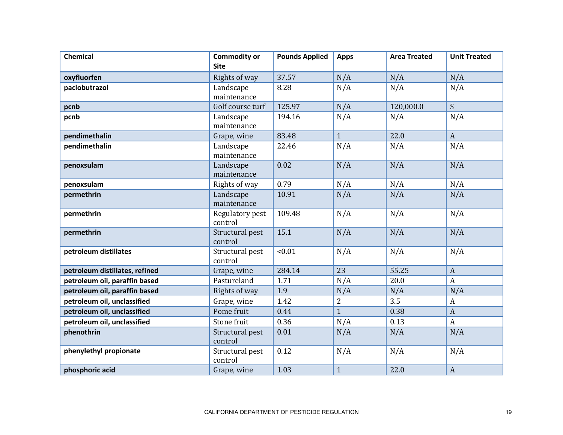| <b>Chemical</b>                | <b>Commodity or</b> | <b>Pounds Applied</b> | <b>Apps</b>    | <b>Area Treated</b> | <b>Unit Treated</b> |
|--------------------------------|---------------------|-----------------------|----------------|---------------------|---------------------|
|                                | <b>Site</b>         |                       |                |                     |                     |
| oxyfluorfen                    | Rights of way       | 37.57                 | N/A            | N/A                 | N/A                 |
| paclobutrazol                  | Landscape           | 8.28                  | N/A            | N/A                 | N/A                 |
|                                | maintenance         |                       |                |                     |                     |
| pcnb                           | Golf course turf    | 125.97                | N/A            | 120,000.0           | $\mathsf{S}$        |
| pcnb                           | Landscape           | 194.16                | N/A            | N/A                 | N/A                 |
|                                | maintenance         |                       |                |                     |                     |
| pendimethalin                  | Grape, wine         | 83.48                 | $\mathbf{1}$   | 22.0                | $\mathbf{A}$        |
| pendimethalin                  | Landscape           | 22.46                 | N/A            | N/A                 | N/A                 |
|                                | maintenance         |                       |                |                     |                     |
| penoxsulam                     | Landscape           | 0.02                  | N/A            | N/A                 | N/A                 |
|                                | maintenance         |                       |                |                     |                     |
| penoxsulam                     | Rights of way       | 0.79                  | N/A            | N/A                 | N/A                 |
| permethrin                     | Landscape           | 10.91                 | N/A            | N/A                 | N/A                 |
|                                | maintenance         |                       |                |                     |                     |
| permethrin                     | Regulatory pest     | 109.48                | N/A            | N/A                 | N/A                 |
|                                | control             |                       |                |                     |                     |
| permethrin                     | Structural pest     | 15.1                  | N/A            | N/A                 | N/A                 |
|                                | control             |                       |                |                     |                     |
| petroleum distillates          | Structural pest     | < 0.01                | N/A            | N/A                 | N/A                 |
|                                | control             |                       |                |                     |                     |
| petroleum distillates, refined | Grape, wine         | 284.14                | 23             | 55.25               | $\mathbf{A}$        |
| petroleum oil, paraffin based  | Pastureland         | 1.71                  | N/A            | 20.0                | $\mathbf{A}$        |
| petroleum oil, paraffin based  | Rights of way       | 1.9                   | N/A            | N/A                 | N/A                 |
| petroleum oil, unclassified    | Grape, wine         | 1.42                  | $\overline{2}$ | 3.5                 | $\mathbf{A}$        |
| petroleum oil, unclassified    | Pome fruit          | 0.44                  | $\overline{1}$ | 0.38                | $\mathbf{A}$        |
| petroleum oil, unclassified    | Stone fruit         | 0.36                  | N/A            | 0.13                | $\boldsymbol{A}$    |
| phenothrin                     | Structural pest     | 0.01                  | N/A            | N/A                 | N/A                 |
|                                | control             |                       |                |                     |                     |
| phenylethyl propionate         | Structural pest     | 0.12                  | N/A            | N/A                 | N/A                 |
|                                | control             |                       |                |                     |                     |
| phosphoric acid                | Grape, wine         | 1.03                  | $\mathbf{1}$   | 22.0                | $\mathbf{A}$        |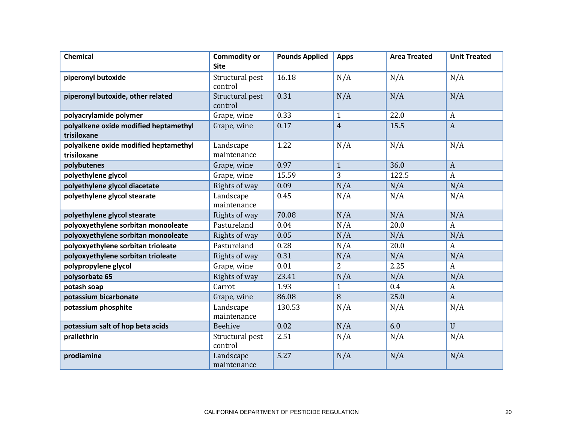| <b>Chemical</b>                                      | <b>Commodity or</b><br><b>Site</b> | <b>Pounds Applied</b> | <b>Apps</b>    | <b>Area Treated</b> | <b>Unit Treated</b> |
|------------------------------------------------------|------------------------------------|-----------------------|----------------|---------------------|---------------------|
|                                                      |                                    |                       |                |                     |                     |
| piperonyl butoxide                                   | Structural pest<br>control         | 16.18                 | N/A            | N/A                 | N/A                 |
| piperonyl butoxide, other related                    | Structural pest<br>control         | 0.31                  | N/A            | N/A                 | N/A                 |
| polyacrylamide polymer                               | Grape, wine                        | 0.33                  | $\mathbf{1}$   | 22.0                | $\boldsymbol{A}$    |
| polyalkene oxide modified heptamethyl<br>trisiloxane | Grape, wine                        | 0.17                  | $\overline{4}$ | 15.5                | $\mathbf{A}$        |
| polyalkene oxide modified heptamethyl<br>trisiloxane | Landscape<br>maintenance           | 1.22                  | N/A            | N/A                 | N/A                 |
| polybutenes                                          | Grape, wine                        | 0.97                  | $\mathbf{1}$   | 36.0                | $\overline{A}$      |
| polyethylene glycol                                  | Grape, wine                        | 15.59                 | 3              | 122.5               | $\boldsymbol{A}$    |
| polyethylene glycol diacetate                        | Rights of way                      | 0.09                  | N/A            | N/A                 | N/A                 |
| polyethylene glycol stearate                         | Landscape<br>maintenance           | 0.45                  | N/A            | N/A                 | N/A                 |
| polyethylene glycol stearate                         | Rights of way                      | 70.08                 | N/A            | N/A                 | N/A                 |
| polyoxyethylene sorbitan monooleate                  | Pastureland                        | 0.04                  | N/A            | 20.0                | $\boldsymbol{A}$    |
| polyoxyethylene sorbitan monooleate                  | Rights of way                      | 0.05                  | N/A            | N/A                 | N/A                 |
| polyoxyethylene sorbitan trioleate                   | Pastureland                        | 0.28                  | N/A            | 20.0                | $\mathbf{A}$        |
| polyoxyethylene sorbitan trioleate                   | Rights of way                      | 0.31                  | N/A            | N/A                 | N/A                 |
| polypropylene glycol                                 | Grape, wine                        | 0.01                  | $\overline{2}$ | 2.25                | $\boldsymbol{A}$    |
| polysorbate 65                                       | Rights of way                      | 23.41                 | N/A            | N/A                 | N/A                 |
| potash soap                                          | Carrot                             | 1.93                  | $\mathbf{1}$   | 0.4                 | $\boldsymbol{A}$    |
| potassium bicarbonate                                | Grape, wine                        | 86.08                 | 8              | 25.0                | $\mathbf{A}$        |
| potassium phosphite                                  | Landscape<br>maintenance           | 130.53                | N/A            | N/A                 | N/A                 |
| potassium salt of hop beta acids                     | Beehive                            | 0.02                  | N/A            | 6.0                 | $\mathbf{U}$        |
| prallethrin                                          | Structural pest<br>control         | 2.51                  | N/A            | N/A                 | N/A                 |
| prodiamine                                           | Landscape<br>maintenance           | 5.27                  | N/A            | N/A                 | N/A                 |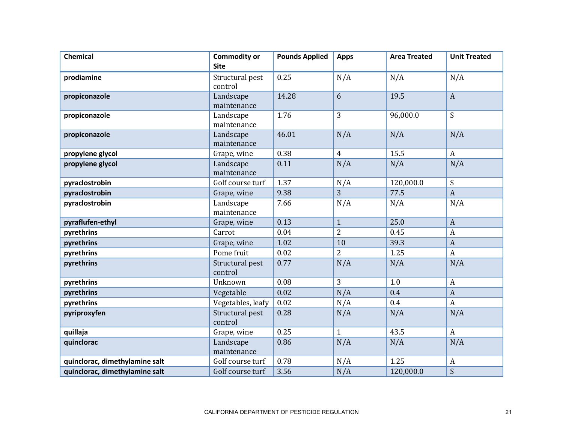| <b>Chemical</b>                | <b>Commodity or</b><br><b>Site</b> | <b>Pounds Applied</b> | <b>Apps</b>    | <b>Area Treated</b> | <b>Unit Treated</b>       |
|--------------------------------|------------------------------------|-----------------------|----------------|---------------------|---------------------------|
| prodiamine                     | Structural pest<br>control         | 0.25                  | N/A            | N/A                 | N/A                       |
| propiconazole                  | Landscape<br>maintenance           | 14.28                 | 6              | 19.5                | $\mathbf{A}$              |
| propiconazole                  | Landscape<br>maintenance           | 1.76                  | 3              | 96,000.0            | S                         |
| propiconazole                  | Landscape<br>maintenance           | 46.01                 | N/A            | N/A                 | N/A                       |
| propylene glycol               | Grape, wine                        | 0.38                  | $\overline{4}$ | 15.5                | $\boldsymbol{A}$          |
| propylene glycol               | Landscape<br>maintenance           | 0.11                  | N/A            | N/A                 | N/A                       |
| pyraclostrobin                 | Golf course turf                   | 1.37                  | N/A            | 120,000.0           | $\boldsymbol{S}$          |
| pyraclostrobin                 | Grape, wine                        | 9.38                  | 3              | 77.5                | $\boldsymbol{A}$          |
| pyraclostrobin                 | Landscape<br>maintenance           | 7.66                  | N/A            | N/A                 | N/A                       |
| pyraflufen-ethyl               | Grape, wine                        | 0.13                  | $\mathbf{1}$   | 25.0                | $\boldsymbol{A}$          |
| pyrethrins                     | Carrot                             | 0.04                  | $\overline{2}$ | 0.45                | $\boldsymbol{A}$          |
| pyrethrins                     | Grape, wine                        | 1.02                  | 10             | 39.3                | $\boldsymbol{A}$          |
| pyrethrins                     | Pome fruit                         | 0.02                  | $\overline{2}$ | 1.25                | $\boldsymbol{A}$          |
| pyrethrins                     | Structural pest<br>control         | 0.77                  | N/A            | N/A                 | N/A                       |
| pyrethrins                     | Unknown                            | 0.08                  | 3              | 1.0                 | $\mathbf{A}$              |
| pyrethrins                     | Vegetable                          | 0.02                  | N/A            | 0.4                 | $\boldsymbol{A}$          |
| pyrethrins                     | Vegetables, leafy                  | 0.02                  | N/A            | 0.4                 | $\mathbf{A}$              |
| pyriproxyfen                   | Structural pest<br>control         | 0.28                  | N/A            | N/A                 | N/A                       |
| quillaja                       | Grape, wine                        | 0.25                  | $\mathbf{1}$   | 43.5                | $\boldsymbol{A}$          |
| quinclorac                     | Landscape<br>maintenance           | 0.86                  | N/A            | N/A                 | N/A                       |
| quinclorac, dimethylamine salt | Golf course turf                   | 0.78                  | N/A            | 1.25                | $\boldsymbol{\mathsf{A}}$ |
| quinclorac, dimethylamine salt | Golf course turf                   | 3.56                  | N/A            | 120,000.0           | S                         |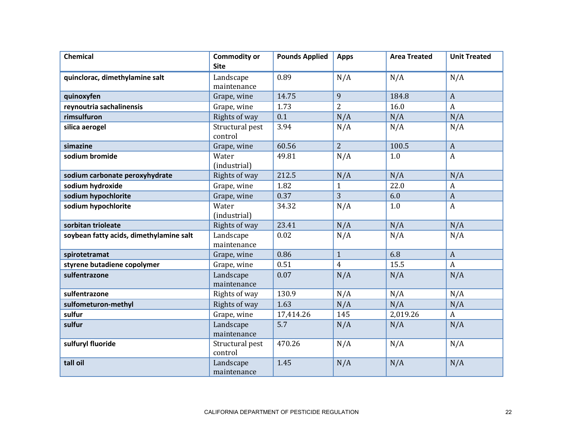| <b>Chemical</b>                         | <b>Commodity or</b><br><b>Site</b> | <b>Pounds Applied</b> | <b>Apps</b>    | <b>Area Treated</b> | <b>Unit Treated</b> |
|-----------------------------------------|------------------------------------|-----------------------|----------------|---------------------|---------------------|
| quinclorac, dimethylamine salt          | Landscape<br>maintenance           | 0.89                  | N/A            | N/A                 | N/A                 |
| quinoxyfen                              | Grape, wine                        | 14.75                 | 9              | 184.8               | $\mathbf{A}$        |
| reynoutria sachalinensis                | Grape, wine                        | 1.73                  | $\overline{2}$ | 16.0                | $\boldsymbol{A}$    |
| rimsulfuron                             | Rights of way                      | 0.1                   | N/A            | N/A                 | N/A                 |
| silica aerogel                          | Structural pest<br>control         | 3.94                  | N/A            | N/A                 | N/A                 |
| simazine                                | Grape, wine                        | 60.56                 | $\overline{2}$ | 100.5               | $\overline{A}$      |
| sodium bromide                          | Water<br>(industrial)              | 49.81                 | N/A            | 1.0                 | $\boldsymbol{A}$    |
| sodium carbonate peroxyhydrate          | Rights of way                      | 212.5                 | N/A            | N/A                 | N/A                 |
| sodium hydroxide                        | Grape, wine                        | 1.82                  | $\mathbf{1}$   | 22.0                | $\boldsymbol{A}$    |
| sodium hypochlorite                     | Grape, wine                        | 0.37                  | 3              | 6.0                 | $\mathbf{A}$        |
| sodium hypochlorite                     | Water<br>(industrial)              | 34.32                 | N/A            | 1.0                 | $\boldsymbol{A}$    |
| sorbitan trioleate                      | Rights of way                      | 23.41                 | N/A            | N/A                 | N/A                 |
| soybean fatty acids, dimethylamine salt | Landscape<br>maintenance           | 0.02                  | N/A            | N/A                 | N/A                 |
| spirotetramat                           | Grape, wine                        | 0.86                  | $\mathbf{1}$   | 6.8                 | $\mathbf{A}$        |
| styrene butadiene copolymer             | Grape, wine                        | 0.51                  | $\overline{4}$ | 15.5                | $\overline{A}$      |
| sulfentrazone                           | Landscape<br>maintenance           | 0.07                  | N/A            | N/A                 | N/A                 |
| sulfentrazone                           | Rights of way                      | 130.9                 | N/A            | N/A                 | N/A                 |
| sulfometuron-methyl                     | Rights of way                      | 1.63                  | N/A            | N/A                 | N/A                 |
| sulfur                                  | Grape, wine                        | 17,414.26             | 145            | 2,019.26            | $\boldsymbol{A}$    |
| sulfur                                  | Landscape<br>maintenance           | 5.7                   | N/A            | N/A                 | N/A                 |
| sulfuryl fluoride                       | Structural pest<br>control         | 470.26                | N/A            | N/A                 | N/A                 |
| tall oil                                | Landscape<br>maintenance           | 1.45                  | N/A            | N/A                 | N/A                 |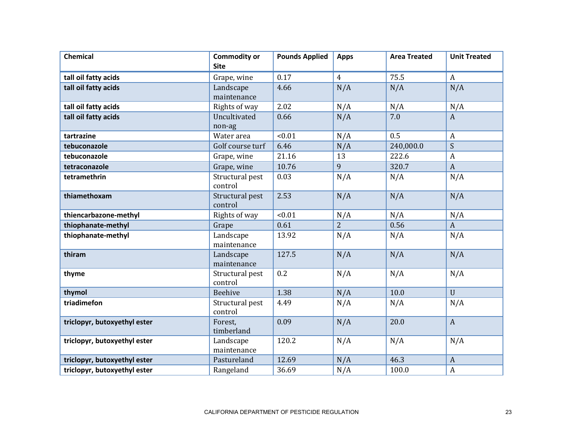| <b>Chemical</b>              | <b>Commodity or</b><br><b>Site</b> | <b>Pounds Applied</b> | <b>Apps</b>    | <b>Area Treated</b> | <b>Unit Treated</b> |
|------------------------------|------------------------------------|-----------------------|----------------|---------------------|---------------------|
| tall oil fatty acids         | Grape, wine                        | 0.17                  | $\overline{4}$ | 75.5                | $\mathbf{A}$        |
| tall oil fatty acids         | Landscape<br>maintenance           | 4.66                  | N/A            | N/A                 | N/A                 |
| tall oil fatty acids         | Rights of way                      | 2.02                  | N/A            | N/A                 | N/A                 |
| tall oil fatty acids         | Uncultivated<br>non-ag             | 0.66                  | N/A            | 7.0                 | $\overline{A}$      |
| tartrazine                   | Water area                         | < 0.01                | N/A            | 0.5                 | $\boldsymbol{A}$    |
| tebuconazole                 | Golf course turf                   | 6.46                  | N/A            | 240,000.0           | $\boldsymbol{S}$    |
| tebuconazole                 | Grape, wine                        | 21.16                 | 13             | 222.6               | $\boldsymbol{A}$    |
| tetraconazole                | Grape, wine                        | 10.76                 | 9              | 320.7               | $\overline{A}$      |
| tetramethrin                 | Structural pest<br>control         | 0.03                  | N/A            | N/A                 | N/A                 |
| thiamethoxam                 | Structural pest<br>control         | 2.53                  | N/A            | N/A                 | N/A                 |
| thiencarbazone-methyl        | Rights of way                      | < 0.01                | N/A            | N/A                 | N/A                 |
| thiophanate-methyl           | Grape                              | 0.61                  | $\overline{2}$ | 0.56                | $\boldsymbol{A}$    |
| thiophanate-methyl           | Landscape<br>maintenance           | 13.92                 | N/A            | N/A                 | N/A                 |
| thiram                       | Landscape<br>maintenance           | 127.5                 | N/A            | N/A                 | N/A                 |
| thyme                        | Structural pest<br>control         | 0.2                   | N/A            | N/A                 | N/A                 |
| thymol                       | Beehive                            | 1.38                  | N/A            | 10.0                | $\mathbf{U}$        |
| triadimefon                  | Structural pest<br>control         | 4.49                  | N/A            | N/A                 | N/A                 |
| triclopyr, butoxyethyl ester | Forest,<br>timberland              | 0.09                  | N/A            | 20.0                | $\mathbf{A}$        |
| triclopyr, butoxyethyl ester | Landscape<br>maintenance           | 120.2                 | N/A            | N/A                 | N/A                 |
| triclopyr, butoxyethyl ester | Pastureland                        | 12.69                 | N/A            | 46.3                | $\boldsymbol{A}$    |
| triclopyr, butoxyethyl ester | Rangeland                          | 36.69                 | N/A            | 100.0               | $\boldsymbol{A}$    |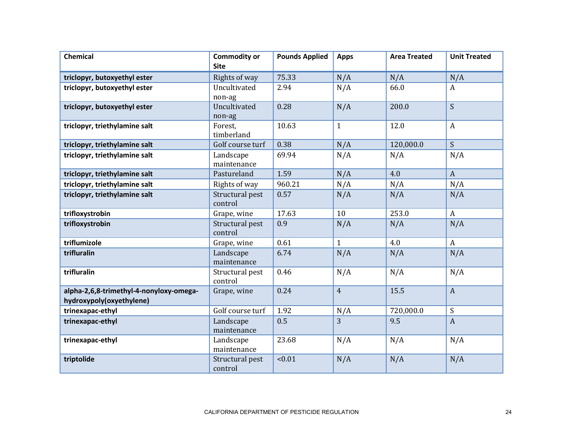| <b>Chemical</b>                                                     | <b>Commodity or</b><br><b>Site</b> | <b>Pounds Applied</b> | <b>Apps</b>    | <b>Area Treated</b> | <b>Unit Treated</b> |
|---------------------------------------------------------------------|------------------------------------|-----------------------|----------------|---------------------|---------------------|
| triclopyr, butoxyethyl ester                                        | Rights of way                      | 75.33                 | N/A            | N/A                 | N/A                 |
| triclopyr, butoxyethyl ester                                        | Uncultivated                       | 2.94                  | N/A            | 66.0                | A                   |
|                                                                     | non-ag                             |                       |                |                     |                     |
| triclopyr, butoxyethyl ester                                        | Uncultivated                       | 0.28                  | N/A            | 200.0               | $\mathsf{S}$        |
|                                                                     | non-ag                             |                       |                |                     |                     |
| triclopyr, triethylamine salt                                       | Forest,<br>timberland              | 10.63                 | $\mathbf{1}$   | 12.0                | $\boldsymbol{A}$    |
| triclopyr, triethylamine salt                                       | Golf course turf                   | 0.38                  | N/A            | 120,000.0           | S                   |
| triclopyr, triethylamine salt                                       | Landscape<br>maintenance           | 69.94                 | N/A            | N/A                 | N/A                 |
| triclopyr, triethylamine salt                                       | Pastureland                        | 1.59                  | N/A            | 4.0                 | $\boldsymbol{A}$    |
| triclopyr, triethylamine salt                                       | Rights of way                      | 960.21                | N/A            | N/A                 | N/A                 |
| triclopyr, triethylamine salt                                       | Structural pest<br>control         | 0.57                  | N/A            | N/A                 | N/A                 |
| trifloxystrobin                                                     | Grape, wine                        | 17.63                 | 10             | 253.0               | $\boldsymbol{A}$    |
| trifloxystrobin                                                     | Structural pest<br>control         | 0.9                   | N/A            | N/A                 | N/A                 |
| triflumizole                                                        | Grape, wine                        | 0.61                  | $\mathbf{1}$   | 4.0                 | $\boldsymbol{A}$    |
| trifluralin                                                         | Landscape<br>maintenance           | 6.74                  | N/A            | N/A                 | N/A                 |
| trifluralin                                                         | Structural pest<br>control         | 0.46                  | N/A            | N/A                 | N/A                 |
| alpha-2,6,8-trimethyl-4-nonyloxy-omega-<br>hydroxypoly(oxyethylene) | Grape, wine                        | 0.24                  | $\overline{4}$ | 15.5                | $\boldsymbol{A}$    |
| trinexapac-ethyl                                                    | Golf course turf                   | 1.92                  | N/A            | 720,000.0           | $\boldsymbol{S}$    |
| trinexapac-ethyl                                                    | Landscape<br>maintenance           | 0.5                   | 3              | 9.5                 | $\boldsymbol{A}$    |
| trinexapac-ethyl                                                    | Landscape<br>maintenance           | 23.68                 | N/A            | N/A                 | N/A                 |
| triptolide                                                          | Structural pest<br>control         | < 0.01                | N/A            | N/A                 | N/A                 |